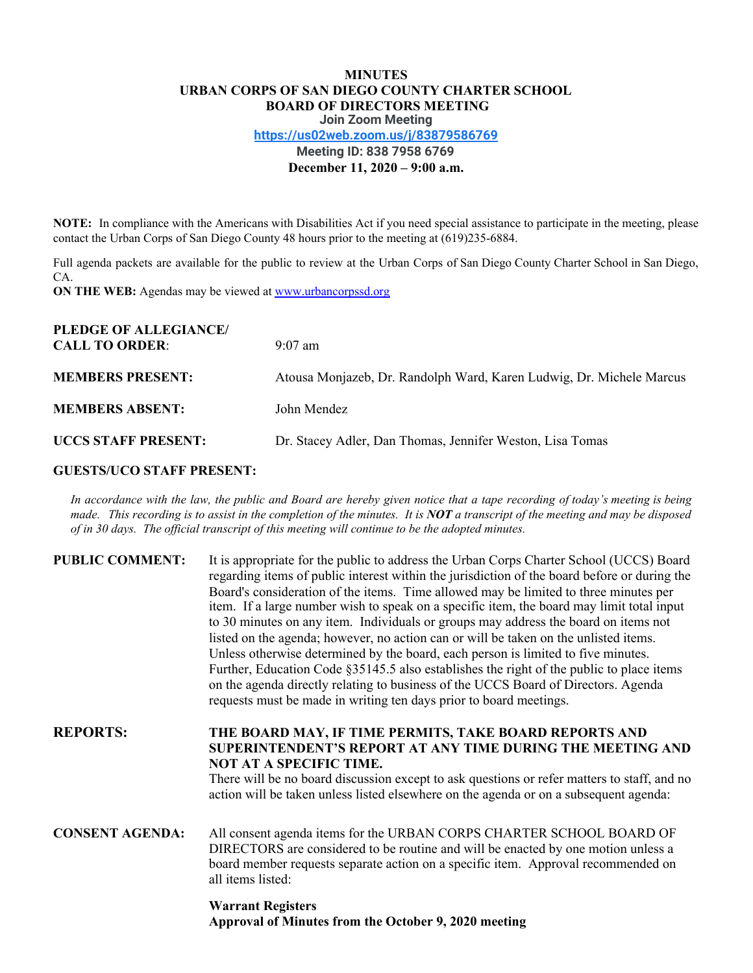# **MINUTES URBAN CORPS OF SAN DIEGO COUNTY CHARTER SCHOOL BOARD OF DIRECTORS MEETING Join Zoom Meeting <https://us02web.zoom.us/j/83879586769> Meeting ID: 838 7958 6769 December 11, 2020 – 9:00 a.m.**

**NOTE:** In compliance with the Americans with Disabilities Act if you need special assistance to participate in the meeting, please contact the Urban Corps of San Diego County 48 hours prior to the meeting at (619)235-6884.

Full agenda packets are available for the public to review at the Urban Corps of San Diego County Charter School in San Diego, CA.

**ON THE WEB:** Agendas may be viewed at [www.urbancorpssd.org](http://www.urbancorpssd.org/)

| PLEDGE OF ALLEGIANCE/<br><b>CALL TO ORDER:</b> | $9:07$ am                                                            |
|------------------------------------------------|----------------------------------------------------------------------|
| <b>MEMBERS PRESENT:</b>                        | Atousa Monjazeb, Dr. Randolph Ward, Karen Ludwig, Dr. Michele Marcus |
| <b>MEMBERS ABSENT:</b>                         | John Mendez                                                          |
| <b>UCCS STAFF PRESENT:</b>                     | Dr. Stacey Adler, Dan Thomas, Jennifer Weston, Lisa Tomas            |

# **GUESTS/UCO STAFF PRESENT:**

In accordance with the law, the public and Board are hereby given notice that a tape recording of today's meeting is being made. This recording is to assist in the completion of the minutes. It is NOT a transcript of the meeting and may be disposed *of in 30 days. The of icial transcript of this meeting will continue to be the adopted minutes.*

| <b>PUBLIC COMMENT:</b> | It is appropriate for the public to address the Urban Corps Charter School (UCCS) Board<br>regarding items of public interest within the jurisdiction of the board before or during the<br>Board's consideration of the items. Time allowed may be limited to three minutes per<br>item. If a large number wish to speak on a specific item, the board may limit total input<br>to 30 minutes on any item. Individuals or groups may address the board on items not<br>listed on the agenda; however, no action can or will be taken on the unlisted items.<br>Unless otherwise determined by the board, each person is limited to five minutes.<br>Further, Education Code §35145.5 also establishes the right of the public to place items<br>on the agenda directly relating to business of the UCCS Board of Directors. Agenda<br>requests must be made in writing ten days prior to board meetings. |
|------------------------|----------------------------------------------------------------------------------------------------------------------------------------------------------------------------------------------------------------------------------------------------------------------------------------------------------------------------------------------------------------------------------------------------------------------------------------------------------------------------------------------------------------------------------------------------------------------------------------------------------------------------------------------------------------------------------------------------------------------------------------------------------------------------------------------------------------------------------------------------------------------------------------------------------|
| <b>REPORTS:</b>        | THE BOARD MAY, IF TIME PERMITS, TAKE BOARD REPORTS AND<br>SUPERINTENDENT'S REPORT AT ANY TIME DURING THE MEETING AND<br><b>NOT AT A SPECIFIC TIME.</b><br>There will be no board discussion except to ask questions or refer matters to staff, and no<br>action will be taken unless listed elsewhere on the agenda or on a subsequent agenda:                                                                                                                                                                                                                                                                                                                                                                                                                                                                                                                                                           |
| <b>CONSENT AGENDA:</b> | All consent agenda items for the URBAN CORPS CHARTER SCHOOL BOARD OF<br>DIRECTORS are considered to be routine and will be enacted by one motion unless a<br>board member requests separate action on a specific item. Approval recommended on<br>all items listed:                                                                                                                                                                                                                                                                                                                                                                                                                                                                                                                                                                                                                                      |
|                        |                                                                                                                                                                                                                                                                                                                                                                                                                                                                                                                                                                                                                                                                                                                                                                                                                                                                                                          |

# **Warrant Registers Approval of Minutes from the October 9, 2020 meeting**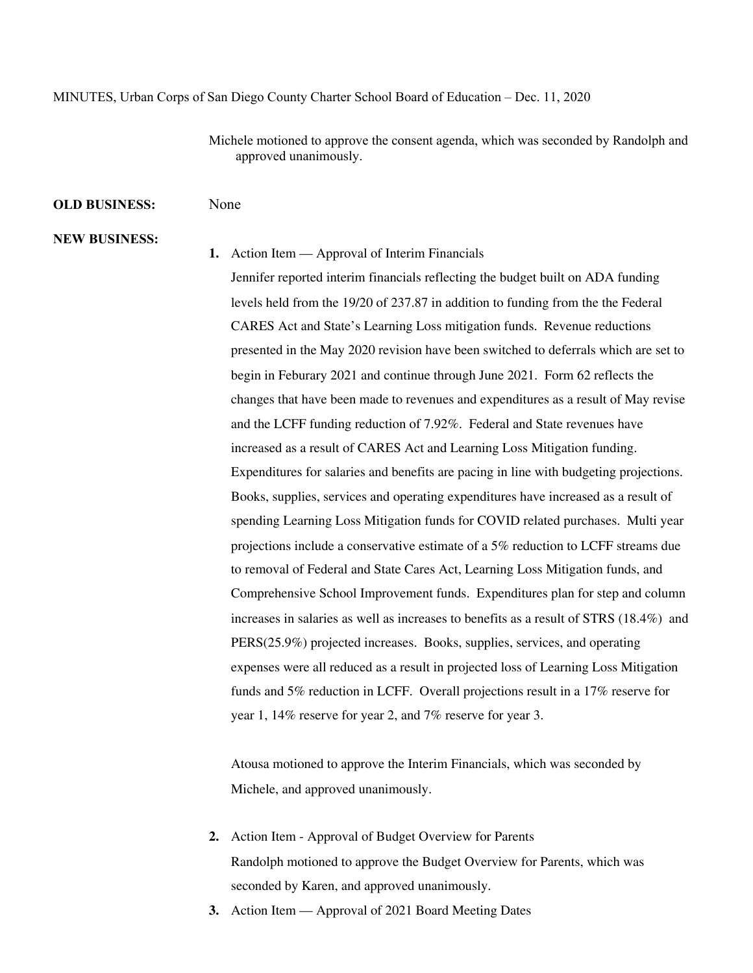#### MINUTES, Urban Corps of San Diego County Charter School Board of Education – Dec. 11, 2020

Michele motioned to approve the consent agenda, which was seconded by Randolph and approved unanimously.

#### **OLD BUSINESS:** None

### **NEW BUSINESS:**

#### **1.** Action Item — Approval of Interim Financials

Jennifer reported interim financials reflecting the budget built on ADA funding levels held from the 19/20 of 237.87 in addition to funding from the the Federal CARES Act and State's Learning Loss mitigation funds. Revenue reductions presented in the May 2020 revision have been switched to deferrals which are set to begin in Feburary 2021 and continue through June 2021. Form 62 reflects the changes that have been made to revenues and expenditures as a result of May revise and the LCFF funding reduction of 7.92%. Federal and State revenues have increased as a result of CARES Act and Learning Loss Mitigation funding. Expenditures for salaries and benefits are pacing in line with budgeting projections. Books, supplies, services and operating expenditures have increased as a result of spending Learning Loss Mitigation funds for COVID related purchases. Multi year projections include a conservative estimate of a 5% reduction to LCFF streams due to removal of Federal and State Cares Act, Learning Loss Mitigation funds, and Comprehensive School Improvement funds. Expenditures plan for step and column increases in salaries as well as increases to benefits as a result of STRS (18.4%) and PERS(25.9%) projected increases. Books, supplies, services, and operating expenses were all reduced as a result in projected loss of Learning Loss Mitigation funds and 5% reduction in LCFF. Overall projections result in a 17% reserve for year 1, 14% reserve for year 2, and 7% reserve for year 3.

Atousa motioned to approve the Interim Financials, which was seconded by Michele, and approved unanimously.

- **2.** Action Item Approval of Budget Overview for Parents Randolph motioned to approve the Budget Overview for Parents, which was seconded by Karen, and approved unanimously.
- **3.** Action Item Approval of 2021 Board Meeting Dates